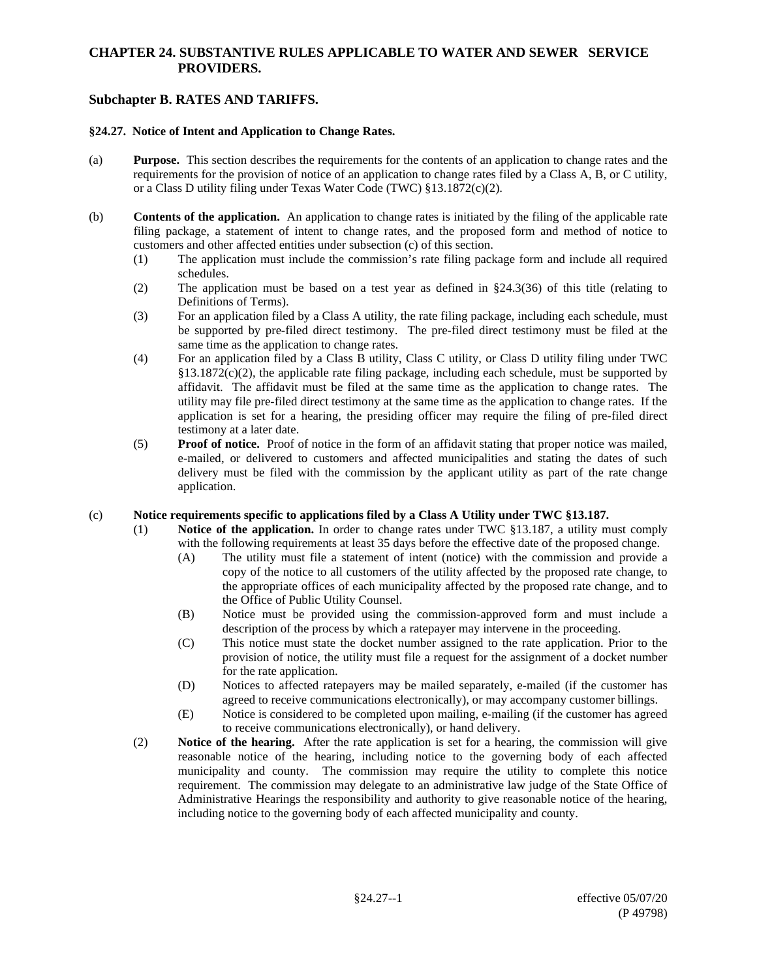## **CHAPTER 24. SUBSTANTIVE RULES APPLICABLE TO WATER AND SEWER SERVICE PROVIDERS.**

# **Subchapter B. RATES AND TARIFFS.**

#### **§24.27. Notice of Intent and Application to Change Rates.**

- (a) **Purpose.** This section describes the requirements for the contents of an application to change rates and the requirements for the provision of notice of an application to change rates filed by a Class A, B, or C utility, or a Class D utility filing under Texas Water Code (TWC) §13.1872(c)(2).
- (b) **Contents of the application.** An application to change rates is initiated by the filing of the applicable rate filing package, a statement of intent to change rates, and the proposed form and method of notice to customers and other affected entities under subsection (c) of this section.
	- (1) The application must include the commission's rate filing package form and include all required schedules.
	- (2) The application must be based on a test year as defined in §24.3(36) of this title (relating to Definitions of Terms).
	- (3) For an application filed by a Class A utility, the rate filing package, including each schedule, must be supported by pre-filed direct testimony. The pre-filed direct testimony must be filed at the same time as the application to change rates.
	- (4) For an application filed by a Class B utility, Class C utility, or Class D utility filing under TWC §13.1872(c)(2), the applicable rate filing package, including each schedule, must be supported by affidavit. The affidavit must be filed at the same time as the application to change rates. The utility may file pre-filed direct testimony at the same time as the application to change rates. If the application is set for a hearing, the presiding officer may require the filing of pre-filed direct testimony at a later date.
	- (5) **Proof of notice.** Proof of notice in the form of an affidavit stating that proper notice was mailed, e-mailed, or delivered to customers and affected municipalities and stating the dates of such delivery must be filed with the commission by the applicant utility as part of the rate change application.

### (c) **Notice requirements specific to applications filed by a Class A Utility under TWC §13.187.**

- (1) **Notice of the application.** In order to change rates under TWC §13.187, a utility must comply with the following requirements at least 35 days before the effective date of the proposed change.
	- (A) The utility must file a statement of intent (notice) with the commission and provide a copy of the notice to all customers of the utility affected by the proposed rate change, to the appropriate offices of each municipality affected by the proposed rate change, and to the Office of Public Utility Counsel.
	- (B) Notice must be provided using the commission-approved form and must include a description of the process by which a ratepayer may intervene in the proceeding.
	- (C) This notice must state the docket number assigned to the rate application. Prior to the provision of notice, the utility must file a request for the assignment of a docket number for the rate application.
	- (D) Notices to affected ratepayers may be mailed separately, e-mailed (if the customer has agreed to receive communications electronically), or may accompany customer billings.
	- (E) Notice is considered to be completed upon mailing, e-mailing (if the customer has agreed to receive communications electronically), or hand delivery.
- (2) **Notice of the hearing.** After the rate application is set for a hearing, the commission will give reasonable notice of the hearing, including notice to the governing body of each affected municipality and county. The commission may require the utility to complete this notice requirement. The commission may delegate to an administrative law judge of the State Office of Administrative Hearings the responsibility and authority to give reasonable notice of the hearing, including notice to the governing body of each affected municipality and county.